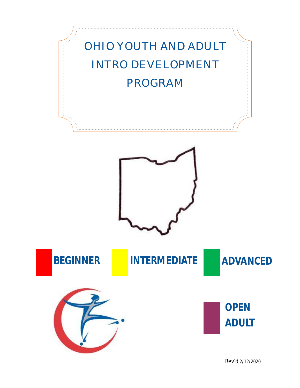

Rev'd 2/12/2020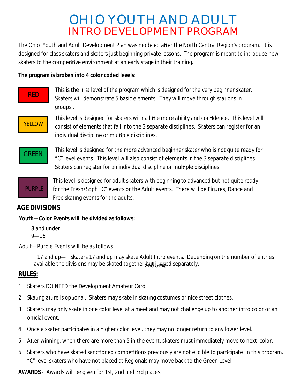# INTRO DEVELOPMENT PROGRAM OHIO YOUTH AND ADULT

The Ohio Youth and Adult Development Plan was modeled after the North Central Region's program. It is designed for class skaters and skaters just beginning private lessons. The program is meant to introduce new skaters to the competitive environment at an early stage in their training.

**The program is broken into 4 color coded levels**:

#### This is the first level of the program which is designed for the very beginner skater. Skaters will demonstrate 5 basic elements. They will move through stations in groups .



RED

This level is designed for skaters with a little more ability and confidence. This level will consist of elements that fall into the 3 separate disciplines. Skaters can register for an individual discipline or multiple disciplines.



**GREEN** This level is designed for the more advanced beginner skater who is not quite ready for "C" level events. This level will also consist of elements in the 3 separate disciplines. Skaters can register for an individual discipline or multiple disciplines.



This level is designed for adult skaters with beginning to advanced but not quite ready for the Fresh/Soph "C" events or the Adult events. There will be Figures, Dance and Free skating events for the adults.

#### **AGE DIVISIONS**

**Youth—Color Events will be divided as follows:**

8 and under 9—16

J Adult—Purple Events will be as follows:

> 17 and up— Skaters 17 and up may skate Adult Intro events. Depending on the number of entries available the divisions may be skated together but judged separately.

#### **RULES:**

- 1. Skaters DO NEED the Development Amateur Card
- 2. Skating attire is optional. Skaters may skate in skating costumes or nice street clothes.
- 3. Skaters may only skate in one color level at a meet and may not challenge up to another intro color or an official event.
- 4. Once a skater participates in a higher color level, they may no longer return to any lower level.
- 5. After winning, when there are more than 5 in the event, skaters must immediately move to next color.
- 6. Skaters who have skated sanctioned competitions previously are not eligible to participate in this program. "C" level skaters who have not placed at Regionals may move back to the Green Level

**AWARDS** - Awards will be given for 1st, 2nd and 3rd places.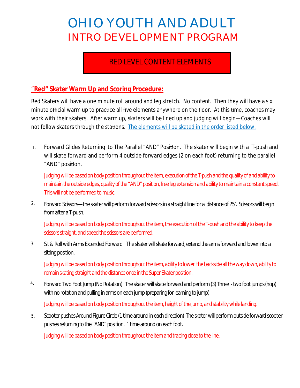# OHIO YOUTH AND ADULT INTRO DEVELOPMENT PROGRAM

# RED LEVEL CONTENT ELEMENTS

#### "**Red" Skater Warm Up and Scoring Procedure:**

Red Skaters will have a one minute roll around and leg stretch. No content. Then they will have a six minute official warm up to practice all five elements anywhere on the floor. At this time, coaches may work with their skaters. After warm up, skaters will be lined up and judging will begin—Coaches will not follow skaters through the stations. The elements will be skated in the order listed below.

Forward Glides Returning to The Parallel "AND" Position. The skater will begin with a T-push and will skate forward and perform 4 outside forward edges (2 on each foot) returning to the parallel "AND" position. 1.

*Judgingwillbebasedonbodypositionthroughout theitem,executionof the T-pushandthequalityofandability to*  maintain the outside edges, quality of the "AND" position, free leg extension and ability to maintain a constant speed. *This will not be performed to music.* 

Forward Scissors—the skater will perform forward scissors in a straight line for a distance of 25'. Scissors will begin fromaftera T-push. 2.

Judging will be based on body position throughout the item, the execution of the T-push and the ability to keep the scissors straight, and speed the scissors are performed.

Sit & Roll with Arms Extended Forward The skater will skate forward, extend the arms forward and lower into a sitting position. 3.

Judging will be based on body position throughout the item, ability to lower the backside all the way down, ability to remain skating straight and the distance once in the Super Skater position.

Forward Two Foot Jump (No Rotation) The skater will skate forward and perform (3) Three - two foot jumps (hop) with no rotation and pulling in arms on each jump (preparing for learning to jump) 4.

Judging will be based on body position throughout the item, height of the jump, and stability while landing.

Scooter pushes Around Figure Circle (1 time around in each direction) The skater will perform outside forward scooter pushes returning to the "AND" position. 1 time around on each foot. 5.

Judging will be based on body position throughout the item and tracing close to the line.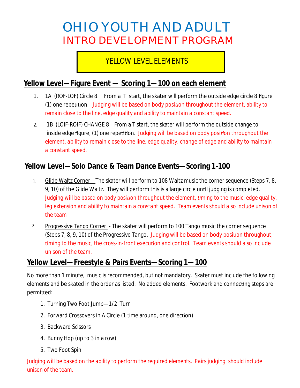# OHIO YOUTH AND ADULT INTRO DEVELOPMENT PROGRAM

# YELLOW LEVEL ELEMENTS

### **Yellow Level—Figure Event — Scoring 1—100 on each element**

- 1. 1A (ROF-LOF) Circle 8. From a T start, the skater will perform the outside edge circle 8 figure (1) one repetition. Judging will be based on body position throughout the element, ability to *remain close to the line, edge quality and ability to maintain a constant speed.*
- 1B (LOIF-ROIF) CHANGE 8 From a T start, the skater will perform the outside change to inside edge figure, (1) one repetition. Judging will be based on body position throughout the *element, ability to remain close to the line, edge quality, change of edge and ability to maintain a constant speed.* 2.

# **Yellow Level—Solo Dance & Team Dance Events—Scoring 1-100**

- Glide Waltz Corner—The skater will perform to 108 Waltz music the corner sequence (Steps 7, 8, 9, 10) of the Glide Waltz. They will perform this is a large circle until judging is completed. *Judging will be based on body posion throughout the element, ming to the music, edge quality, leg extension and ability to maintain a constant speed. Team events should also include unison of the team* 1.
- Progressive Tango Corner The skater will perform to 100 Tango music the corner sequence (Steps 7, 8, 9, 10) of the Progressive Tango. Judging will be based on body position throughout, timing to the music, the cross-in-front execution and control. Team events should also include unison of the team. 2.

#### **Yellow Level—Freestyle & Pairs Events—Scoring 1—100**

No more than 1 minute, music is recommended, but not mandatory. Skater must include the following elements and be skated in the order as listed. No added elements. Footwork and connecting steps are permitted:

- 1. Turning Two Foot Jump—1/2 Turn
- 2. Forward Crossovers in A Circle (1 time around, one direction)
- 3. Backward Scissors
- 4. Bunny Hop (up to 3 in a row)
- 5. Two Foot Spin

*Judging will be based on the ability to perform the required elements. Pairs judging should include unison of the team.*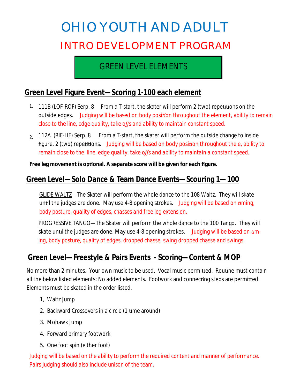# OHIO YOUTH AND ADULT INTRO DEVELOPMENT PROGRAM

# GREEN LEVEL ELEMENTS

## **Green Level Figure Event—Scoring 1-100 each element**

- <sup>1.</sup> 111B (LOF-ROF) Serp. 8 From a T-start, the skater will perform 2 (two) repetitions on the outside edges. *Judging will be based on body posion throughout the element, ability to remain close to the line, edge quality, take offs and ability to maintain constant speed.*
- $_{\rm 2.}$  112A (RIF-LIF) Serp. 8 From a T-start, the skater will perform the outside change to inside figure, 2 (two) repetitions. Judging will be based on body position throughout the e, ability to *remain close to the line, edge quality, take offs and ability to maintain a constant speed.*

**Free leg movement is oponal. A separate score will be given for each figure.**

### **Green Level—Solo Dance & Team Dance Events—Scouring 1—100**

GLIDE WALTZ—The Skater will perform the whole dance to the 108 Waltz. They will skate until the judges are done. May use 4-8 opening strokes. Judging will be based on timing, *body posture, quality of edges, chasses and free leg extension.*

PROGRESSIVE TANGO—The Skater will perform the whole dance to the 100 Tango. They will skate until the judges are done. May use 4-8 opening strokes. Judging will be based on tim*ing, body posture, quality of edges, dropped chasse, swing dropped chasse and swings.*

## **Green Level—Freestyle & Pairs Events - Scoring—Content & MOP**

No more than 2 minutes. Your own music to be used. Vocal music permitted. Routine must contain all the below listed elements: No added elements. Footwork and connecting steps are permitted. Elements must be skated in the order listed.

- 1, Waltz Jump
- 2. Backward Crossovers in a circle (1 time around)
- 3. Mohawk Jump
- 4. Forward primary footwork
- 5. One foot spin (either foot)

*Judging will be based on the ability to perform the required content and manner of performance. Pairs judging should also include unison of the team.*